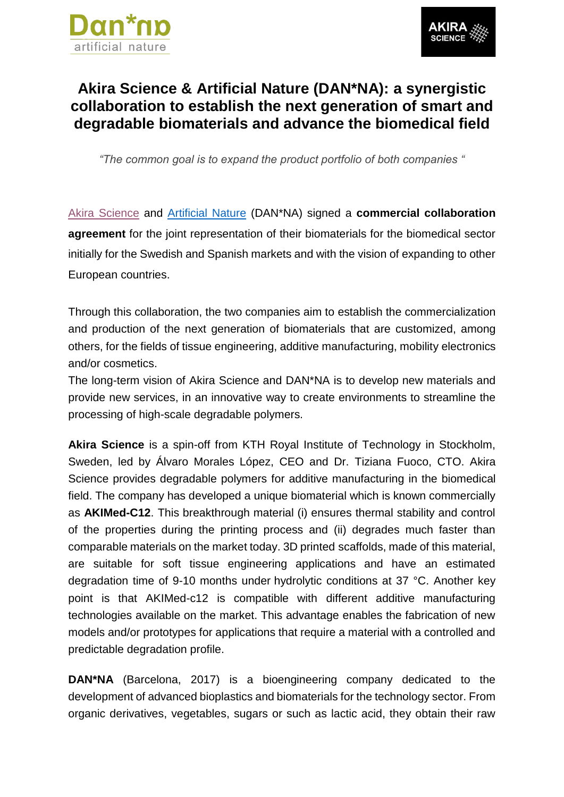



## **Akira Science & Artificial Nature (DAN\*NA): a synergistic collaboration to establish the next generation of smart and degradable biomaterials and advance the biomedical field**

*"The common goal is to expand the product portfolio of both companies "*

Akira [Science](https://www.akirascience.com/) and [Artificial Nature](https://artificialnature.com/) (DAN\*NA) signed a **commercial collaboration agreement** for the joint representation of their biomaterials for the biomedical sector initially for the Swedish and Spanish markets and with the vision of expanding to other European countries.

Through this collaboration, the two companies aim to establish the commercialization and production of the next generation of biomaterials that are customized, among others, for the fields of tissue engineering, additive manufacturing, mobility electronics and/or cosmetics.

The long-term vision of Akira Science and DAN\*NA is to develop new materials and provide new services, in an innovative way to create environments to streamline the processing of high-scale degradable polymers.

**Akira Science** is a spin-off from KTH Royal Institute of Technology in Stockholm, Sweden, led by Álvaro Morales López, CEO and Dr. Tiziana Fuoco, CTO. Akira Science provides degradable polymers for additive manufacturing in the biomedical field. The company has developed a unique biomaterial which is known commercially as **AKIMed-C12**. This breakthrough material (i) ensures thermal stability and control of the properties during the printing process and (ii) degrades much faster than comparable materials on the market today. 3D printed scaffolds, made of this material, are suitable for soft tissue engineering applications and have an estimated degradation time of 9-10 months under hydrolytic conditions at 37 °C. Another key point is that AKIMed-c12 is compatible with different additive manufacturing technologies available on the market. This advantage enables the fabrication of new models and/or prototypes for applications that require a material with a controlled and predictable degradation profile.

**DAN\*NA** (Barcelona, 2017) is a bioengineering company dedicated to the development of advanced bioplastics and biomaterials for the technology sector. From organic derivatives, vegetables, sugars or such as lactic acid, they obtain their raw